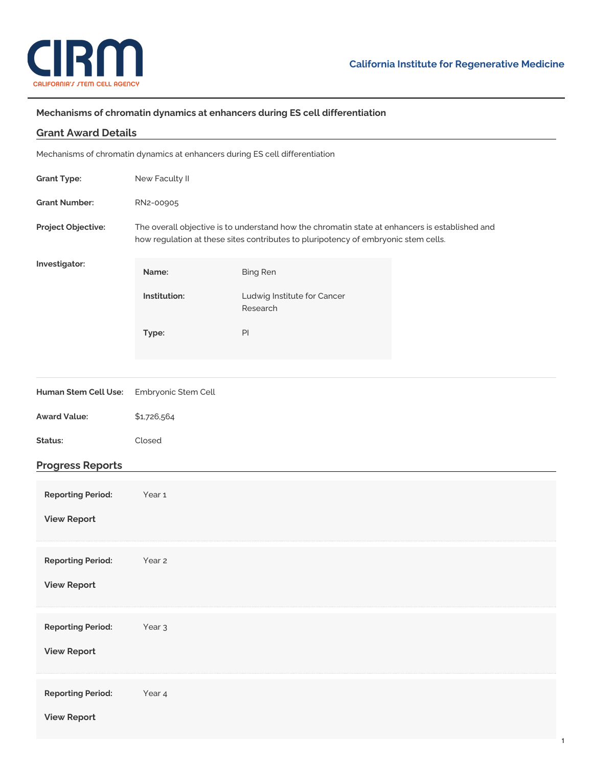

## **Mechanisms of chromatin dynamics at enhancers during ES cell differentiation**

| <b>Grant Award Details</b>                                                   |                                                                                                                                                                                      |                                         |  |  |  |  |  |  |  |
|------------------------------------------------------------------------------|--------------------------------------------------------------------------------------------------------------------------------------------------------------------------------------|-----------------------------------------|--|--|--|--|--|--|--|
| Mechanisms of chromatin dynamics at enhancers during ES cell differentiation |                                                                                                                                                                                      |                                         |  |  |  |  |  |  |  |
| <b>Grant Type:</b>                                                           | New Faculty II                                                                                                                                                                       |                                         |  |  |  |  |  |  |  |
| <b>Grant Number:</b>                                                         | RN2-00905                                                                                                                                                                            |                                         |  |  |  |  |  |  |  |
| Project Objective:                                                           | The overall objective is to understand how the chromatin state at enhancers is established and<br>how regulation at these sites contributes to pluripotency of embryonic stem cells. |                                         |  |  |  |  |  |  |  |
| Investigator:                                                                | Name:                                                                                                                                                                                | <b>Bing Ren</b>                         |  |  |  |  |  |  |  |
|                                                                              | Institution:                                                                                                                                                                         | Ludwig Institute for Cancer<br>Research |  |  |  |  |  |  |  |
|                                                                              | Type:                                                                                                                                                                                | PI                                      |  |  |  |  |  |  |  |
|                                                                              |                                                                                                                                                                                      |                                         |  |  |  |  |  |  |  |
| Human Stem Cell Use:                                                         | Embryonic Stem Cell                                                                                                                                                                  |                                         |  |  |  |  |  |  |  |
| <b>Award Value:</b>                                                          | \$1,726,564                                                                                                                                                                          |                                         |  |  |  |  |  |  |  |
| Status:                                                                      | Closed                                                                                                                                                                               |                                         |  |  |  |  |  |  |  |
| <b>Progress Reports</b>                                                      |                                                                                                                                                                                      |                                         |  |  |  |  |  |  |  |
| <b>Reporting Period:</b>                                                     | Year <sub>1</sub>                                                                                                                                                                    |                                         |  |  |  |  |  |  |  |
| <b>View Report</b>                                                           |                                                                                                                                                                                      |                                         |  |  |  |  |  |  |  |
| <b>Reporting Period:</b>                                                     | Year 2                                                                                                                                                                               |                                         |  |  |  |  |  |  |  |
| <b>View Report</b>                                                           |                                                                                                                                                                                      |                                         |  |  |  |  |  |  |  |
| <b>Reporting Period:</b>                                                     | Year <sub>3</sub>                                                                                                                                                                    |                                         |  |  |  |  |  |  |  |
| <b>View Report</b>                                                           |                                                                                                                                                                                      |                                         |  |  |  |  |  |  |  |
| <b>Reporting Period:</b>                                                     | Year 4                                                                                                                                                                               |                                         |  |  |  |  |  |  |  |
| <b>View Report</b>                                                           |                                                                                                                                                                                      |                                         |  |  |  |  |  |  |  |